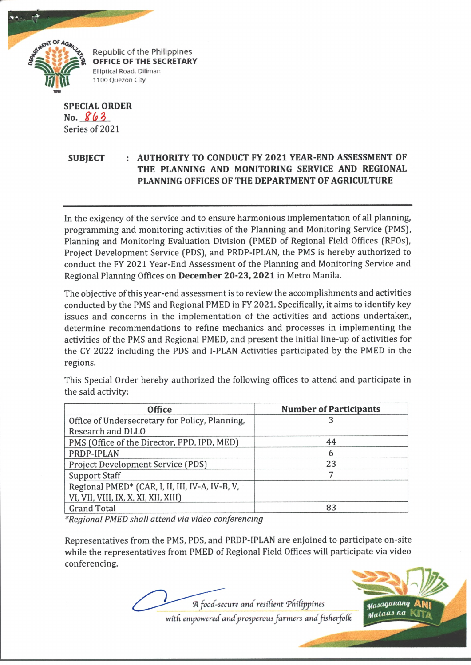

Republic of the Philippines **OFFICE OF THE SECRETARY** Elliptical Road, Diliman 1100 Quezon City

## **SPECIAL ORDER No.** *X(o?>* Series of 2021

## **SUBJECT : AUTHORITY TO CONDUCT FY 2021 YEAR-END ASSESSMENT OF THE PLANNING AND MONITORING SERVICE AND REGIONAL PLANNING OFFICES OF THE DEPARTMENT OF AGRICULTURE**

In the exigency of the service and to ensure harmonious implementation of all planning, programming and monitoring activities of the Planning and Monitoring Service (PMS}, Planning and Monitoring Evaluation Division (PMED of Regional Field Offices (RFOs), Project Development Service (PDS), and PRDP-IPLAN, the PMS is hereby authorized to conduct the FY 2021 Year-End Assessment of the Planning and Monitoring Service and Regional Planning Offices on **December 20-23, 2021** in Metro Manila.

The objective of this year-end assessment is to review the accomplishments and activities conducted by the PMS and Regional PMED in FY 2021. Specifically, it aims to identify key issues and concerns in the implementation of the activities and actions undertaken, determine recommendations to refine mechanics and processes in implementing the activities of the PMS and Regional PMED, and present the initial line-up of activities for the CY 2022 including the PDS and 1-PLAN Activities participated by the PMED in the regions.

This Special Order hereby authorized the following offices to attend and participate in the said activity:

| <b>Office</b>                                   | <b>Number of Participants</b> |
|-------------------------------------------------|-------------------------------|
| Office of Undersecretary for Policy, Planning,  |                               |
| Research and DLLO                               |                               |
| PMS (Office of the Director, PPD, IPD, MED)     | 44                            |
| PRDP-IPLAN                                      | 6                             |
| <b>Project Development Service (PDS)</b>        | 23                            |
| <b>Support Staff</b>                            |                               |
| Regional PMED* (CAR, I, II, III, IV-A, IV-B, V, |                               |
| VI, VII, VIII, IX, X, XI, XII, XIII)            |                               |
| <b>Grand Total</b>                              | 83                            |

*\*RegionaI PMED shall attend via video conferencing*

Representatives from the PMS, PDS, and PRDP-IPLAN are enjoined to participate on-site while the representatives from PMED of Regional Field Offices will participate via video conferencing.

A food-secure and resilient Philippines with empowered and prosperous farmers and fisherfolk

Masaganang ..<br><sub>Malaas na</sub>